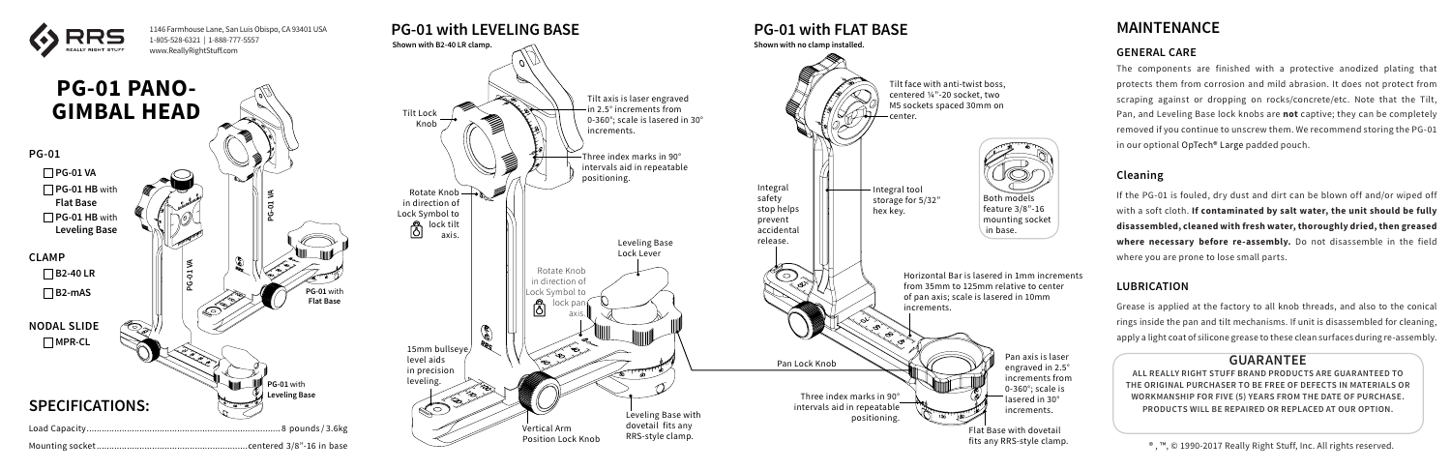### **GUARANTEE**

**ALL REALLY RIGHT STUFF BRAND PRODUCTS ARE GUARANTEED TO THE ORIGINAL PURCHASER TO BE FREE OF DEFECTS IN MATERIALS OR WORKMANSHIP FOR FIVE (5) YEARS FROM THE DATE OF PURCHASE. PRODUCTS WILL BE REPAIRED OR REPLACED AT OUR OPTION.**



® , ™, © 1990-2017 Really Right Stuff, Inc. All rights reserved.

# **MAINTENANCE**

#### **GENERAL CARE**

The components are finished with a protective anodized plating that protects them from corrosion and mild abrasion. It does not protect from scraping against or dropping on rocks/concrete/etc. Note that the Tilt, Pan, and Leveling Base lock knobs are **not** captive; they can be completely removed if you continue to unscrew them. We recommend storing the PG-01 in our optional OpTech® Large padded pouch.

#### **Cleaning**

If the PG-01 is fouled, dry dust and dirt can be blown off and/or wiped off with a soft cloth. **If contaminated by salt water, the unit should be fully disassembled, cleaned with fresh water, thoroughly dried, then greased where necessary before re-assembly.** Do not disassemble in the field where you are prone to lose small parts.

#### **LUBRICATION**

Grease is applied at the factory to all knob threads, and also to the conical rings inside the pan and tilt mechanisms. If unit is disassembled for cleaning, apply a light coat of silicone grease to these clean surfaces during re-assembly.